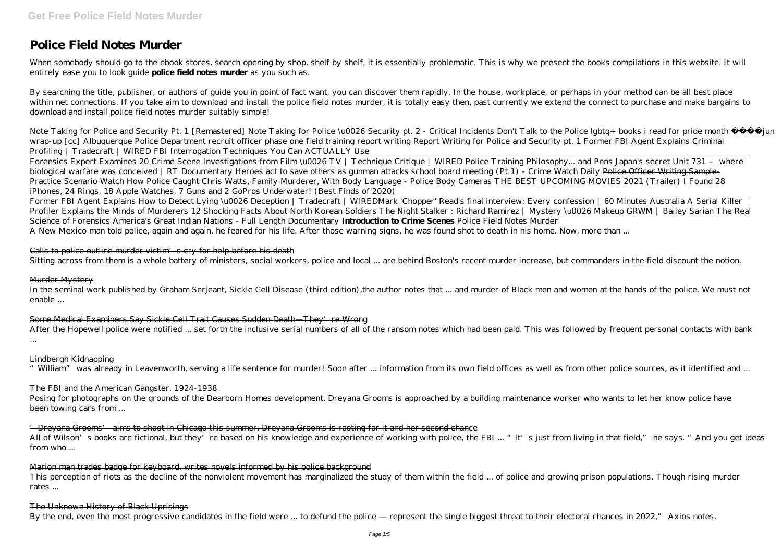# **Police Field Notes Murder**

When somebody should go to the ebook stores, search opening by shop, shelf by shelf, it is essentially problematic. This is why we present the books compilations in this website. It will entirely ease you to look guide **police field notes murder** as you such as.

By searching the title, publisher, or authors of guide you in point of fact want, you can discover them rapidly. In the house, workplace, or perhaps in your method can be all best place within net connections. If you take aim to download and install the police field notes murder, it is totally easy then, past currently we extend the connect to purchase and make bargains to download and install police field notes murder suitably simple!

Forensics Expert Examines 20 Crime Scene Investigations from Film \u0026 TV | Technique Critique | WIRED Police Training Philosophy... and Pens Japan's secret Unit 731 - where biological warfare was conceived | RT Documentary *Heroes act to save others as gunman attacks school board meeting (Pt 1) - Crime Watch Daily Police Officer Writing Sample-*Practice Scenario Watch How Police Caught Chris Watts, Family Murderer, With Body Language - Police Body Cameras THE BEST UPCOMING MOVIES 2021 (Trailer) I Found 28 iPhones, 24 Rings, 18 Apple Watches, 7 Guns and 2 GoPros Underwater! (Best Finds of 2020)

*Note Taking for Police and Security Pt. 1 [Remastered] Note Taking for Police \u0026 Security pt. 2 - Critical Incidents Don't Talk to the Police* lgbtq+ books i read for pride month jun wrap-up [cc] Albuquerque Police Department recruit officer phase one field training report writing Report Writing for Police and Security pt. 1 Former FBI Agent Explains Criminal Profiling | Tradecraft | WIRED FBI Interrogation Techniques You Can ACTUALLY Use

After the Hopewell police were notified ... set forth the inclusive serial numbers of all of the ransom notes which had been paid. This was followed by frequent personal contacts with bank ...

All of Wilson's books are fictional, but they're based on his knowledge and experience of working with police, the FBI ... "It's just from living in that field," he says. "And you get ideas from who ...

Former FBI Agent Explains How to Detect Lying \u0026 Deception | Tradecraft | WIRED*Mark 'Chopper' Read's final interview: Every confession | 60 Minutes Australia A Serial Killer Profiler Explains the Minds of Murderers* 12 Shocking Facts About North Korean Soldiers *The Night Stalker : Richard Ramirez | Mystery \u0026 Makeup GRWM | Bailey Sarian* The Real Science of Forensics *America's Great Indian Nations - Full Length Documentary* **Introduction to Crime Scenes** Police Field Notes Murder A New Mexico man told police, again and again, he feared for his life. After those warning signs, he was found shot to death in his home. Now, more than ...

#### Calls to police outline murder victim's cry for help before his death

Sitting across from them is a whole battery of ministers, social workers, police and local ... are behind Boston's recent murder increase, but commanders in the field discount the notion.

#### Murder Mystery

In the seminal work published by Graham Serjeant, Sickle Cell Disease (third edition),the author notes that ... and murder of Black men and women at the hands of the police. We must not enable ...

#### Some Medical Examiners Say Sickle Cell Trait Causes Sudden Death—They're Wrong

#### Lindbergh Kidnapping

"William" was already in Leavenworth, serving a life sentence for murder! Soon after ... information from its own field offices as well as from other police sources, as it identified and ...

#### The FBI and the American Gangster, 1924-1938

Posing for photographs on the grounds of the Dearborn Homes development, Dreyana Grooms is approached by a building maintenance worker who wants to let her know police have been towing cars from ...

#### 'Dreyana Grooms' aims to shoot in Chicago this summer. Dreyana Grooms is rooting for it and her second chance

#### Marion man trades badge for keyboard, writes novels informed by his police background

This perception of riots as the decline of the nonviolent movement has marginalized the study of them within the field ... of police and growing prison populations. Though rising murder rates ...

### The Unknown History of Black Uprisings

By the end, even the most progressive candidates in the field were ... to defund the police — represent the single biggest threat to their electoral chances in 2022," Axios notes.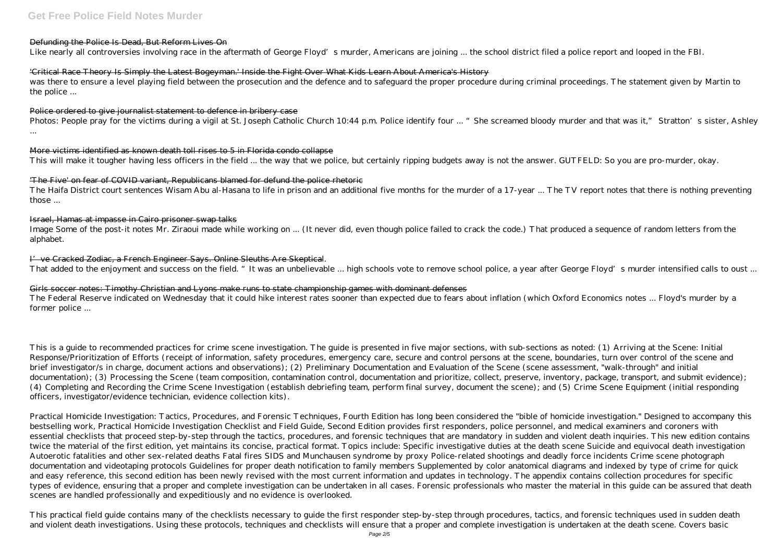### Defunding the Police Is Dead, But Reform Lives On

Like nearly all controversies involving race in the aftermath of George Floyd's murder, Americans are joining ... the school district filed a police report and looped in the FBI.

### 'Critical Race Theory Is Simply the Latest Bogeyman.' Inside the Fight Over What Kids Learn About America's History

Photos: People pray for the victims during a vigil at St. Joseph Catholic Church 10:44 p.m. Police identify four ... "She screamed bloody murder and that was it," Stratton's sister, Ashley ...

was there to ensure a level playing field between the prosecution and the defence and to safeguard the proper procedure during criminal proceedings. The statement given by Martin to the police ...

#### Police ordered to give journalist statement to defence in bribery case

More victims identified as known death toll rises to 5 in Florida condo collapse

This will make it tougher having less officers in the field ... the way that we police, but certainly ripping budgets away is not the answer. GUTFELD: So you are pro-murder, okay.

### 'The Five' on fear of COVID variant, Republicans blamed for defund the police rhetoric

The Haifa District court sentences Wisam Abu al-Hasana to life in prison and an additional five months for the murder of a 17-year ... The TV report notes that there is nothing preventing those ...

#### Israel, Hamas at impasse in Cairo prisoner swap talks

Image Some of the post-it notes Mr. Ziraoui made while working on ... (It never did, even though police failed to crack the code.) That produced a sequence of random letters from the alphabet.

#### I've Cracked Zodiac, a French Engineer Says. Online Sleuths Are Skeptical.

That added to the enjoyment and success on the field. "It was an unbelievable ... high schools vote to remove school police, a year after George Floyd's murder intensified calls to oust ...

#### Girls soccer notes: Timothy Christian and Lyons make runs to state championship games with dominant defenses

The Federal Reserve indicated on Wednesday that it could hike interest rates sooner than expected due to fears about inflation (which Oxford Economics notes ... Floyd's murder by a former police ...

This is a guide to recommended practices for crime scene investigation. The guide is presented in five major sections, with sub-sections as noted: (1) Arriving at the Scene: Initial Response/Prioritization of Efforts (receipt of information, safety procedures, emergency care, secure and control persons at the scene, boundaries, turn over control of the scene and brief investigator/s in charge, document actions and observations); (2) Preliminary Documentation and Evaluation of the Scene (scene assessment, "walk-through" and initial documentation); (3) Processing the Scene (team composition, contamination control, documentation and prioritize, collect, preserve, inventory, package, transport, and submit evidence); (4) Completing and Recording the Crime Scene Investigation (establish debriefing team, perform final survey, document the scene); and (5) Crime Scene Equipment (initial responding officers, investigator/evidence technician, evidence collection kits).

Practical Homicide Investigation: Tactics, Procedures, and Forensic Techniques, Fourth Edition has long been considered the "bible of homicide investigation." Designed to accompany this bestselling work, Practical Homicide Investigation Checklist and Field Guide, Second Edition provides first responders, police personnel, and medical examiners and coroners with essential checklists that proceed step-by-step through the tactics, procedures, and forensic techniques that are mandatory in sudden and violent death inquiries. This new edition contains twice the material of the first edition, yet maintains its concise, practical format. Topics include: Specific investigative duties at the death scene Suicide and equivocal death investigation Autoerotic fatalities and other sex-related deaths Fatal fires SIDS and Munchausen syndrome by proxy Police-related shootings and deadly force incidents Crime scene photograph documentation and videotaping protocols Guidelines for proper death notification to family members Supplemented by color anatomical diagrams and indexed by type of crime for quick and easy reference, this second edition has been newly revised with the most current information and updates in technology. The appendix contains collection procedures for specific types of evidence, ensuring that a proper and complete investigation can be undertaken in all cases. Forensic professionals who master the material in this guide can be assured that death scenes are handled professionally and expeditiously and no evidence is overlooked.

This practical field guide contains many of the checklists necessary to guide the first responder step-by-step through procedures, tactics, and forensic techniques used in sudden death and violent death investigations. Using these protocols, techniques and checklists will ensure that a proper and complete investigation is undertaken at the death scene. Covers basic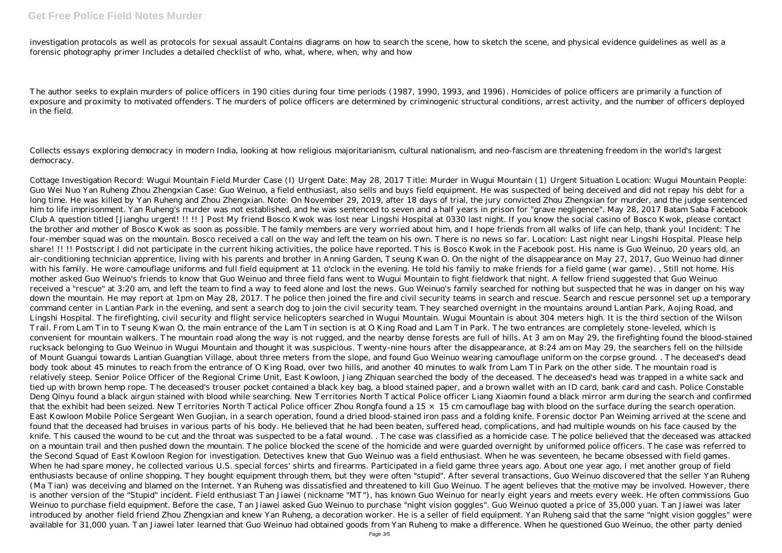## **Get Free Police Field Notes Murder**

investigation protocols as well as protocols for sexual assault Contains diagrams on how to search the scene, how to sketch the scene, and physical evidence guidelines as well as a forensic photography primer Includes a detailed checklist of who, what, where, when, why and how

The author seeks to explain murders of police officers in 190 cities during four time periods (1987, 1990, 1993, and 1996). Homicides of police officers are primarily a function of exposure and proximity to motivated offenders. The murders of police officers are determined by criminogenic structural conditions, arrest activity, and the number of officers deployed in the field.

Collects essays exploring democracy in modern India, looking at how religious majoritarianism, cultural nationalism, and neo-fascism are threatening freedom in the world's largest democracy.

Cottage Investigation Record: Wugui Mountain Field Murder Case (I) Urgent Date: May 28, 2017 Title: Murder in Wugui Mountain (1) Urgent Situation Location: Wugui Mountain People: Guo Wei Nuo Yan Ruheng Zhou Zhengxian Case: Guo Weinuo, a field enthusiast, also sells and buys field equipment. He was suspected of being deceived and did not repay his debt for a long time. He was killed by Yan Ruheng and Zhou Zhengxian. Note: On November 29, 2019, after 18 days of trial, the jury convicted Zhou Zhengxian for murder, and the judge sentenced him to life imprisonment. Yan Ruheng's murder was not established, and he was sentenced to seven and a half years in prison for "grave negligence". May 28, 2017 Batam Saba Facebook Club A question titled [Jianghu urgent! !! !! ] Post My friend Bosco Kwok was lost near Lingshi Hospital at 0330 last night. If you know the social casino of Bosco Kwok, please contact the brother and mother of Bosco Kwok as soon as possible. The family members are very worried about him, and I hope friends from all walks of life can help, thank you! Incident: The four-member squad was on the mountain. Bosco received a call on the way and left the team on his own. There is no news so far. Location: Last night near Lingshi Hospital. Please help share!!!!! Postscript I did not participate in the current hiking activities, the police have reported. This is Bosco Kwok in the Facebook post. His name is Guo Weinuo, 20 years old, an air-conditioning technician apprentice, living with his parents and brother in Anning Garden, Tseung Kwan O. On the night of the disappearance on May 27, 2017, Guo Weinuo had dinner with his family. He wore camouflage uniforms and full field equipment at 11 o'clock in the evening. He told his family to make friends for a field game (war game)., Still not home. His mother asked Guo Weinuo's friends to know that Guo Weinuo and three field fans went to Wugui Mountain to fight fieldwork that night. A fellow friend suggested that Guo Weinuo received a "rescue" at 3:20 am, and left the team to find a way to feed alone and lost the news. Guo Weinuo's family searched for nothing but suspected that he was in danger on his way down the mountain. He may report at 1pm on May 28, 2017. The police then joined the fire and civil security teams in search and rescue. Search and rescue personnel set up a temporary command center in Lantian Park in the evening, and sent a search dog to join the civil security team. They searched overnight in the mountains around Lantian Park, Aojing Road, and Lingshi Hospital. The firefighting, civil security and flight service helicopters searched in Wugui Mountain. Wugui Mountain is about 304 meters high. It is the third section of the Wilson Trail. From Lam Tin to Tseung Kwan O, the main entrance of the Lam Tin section is at O King Road and Lam Tin Park. The two entrances are completely stone-leveled, which is convenient for mountain walkers. The mountain road along the way is not rugged, and the nearby dense forests are full of hills. At 3 am on May 29, the firefighting found the blood-stained rucksack belonging to Guo Weinuo in Wugui Mountain and thought it was suspicious. Twenty-nine hours after the disappearance, at 8:24 am on May 29, the searchers fell on the hillside of Mount Guangui towards Lantian Guangtian Village, about three meters from the slope, and found Guo Weinuo wearing camouflage uniform on the corpse ground. . The deceased's dead body took about 45 minutes to reach from the entrance of O King Road, over two hills, and another 40 minutes to walk from Lam Tin Park on the other side. The mountain road is relatively steep. Senior Police Officer of the Regional Crime Unit, East Kowloon, Jiang Zhiquan searched the body of the deceased. The deceased's head was trapped in a white sack and tied up with brown hemp rope. The deceased's trouser pocket contained a black key bag, a blood stained paper, and a brown wallet with an ID card, bank card and cash. Police Constable Deng Qinyu found a black airgun stained with blood while searching. New Territories North Tactical Police officer Liang Xiaomin found a black mirror arm during the search and confirmed that the exhibit had been seized. New Territories North Tactical Police officer Zhou Rongfa found a 15 × 15 cm camouflage bag with blood on the surface during the search operation. East Kowloon Mobile Police Sergeant Wen Guojian, in a search operation, found a dried blood-stained iron pass and a folding knife. Forensic doctor Pan Weiming arrived at the scene and found that the deceased had bruises in various parts of his body. He believed that he had been beaten, suffered head, complications, and had multiple wounds on his face caused by the knife. This caused the wound to be cut and the throat was suspected to be a fatal wound. . The case was classified as a homicide case. The police believed that the deceased was attacked on a mountain trail and then pushed down the mountain. The police blocked the scene of the homicide and were guarded overnight by uniformed police officers. The case was referred to the Second Squad of East Kowloon Region for investigation. Detectives knew that Guo Weinuo was a field enthusiast. When he was seventeen, he became obsessed with field games. When he had spare money, he collected various U.S. special forces' shirts and firearms. Participated in a field game three years ago. About one year ago, I met another group of field enthusiasts because of online shopping. They bought equipment through them, but they were often "stupid". After several transactions, Guo Weinuo discovered that the seller Yan Ruheng (Ma Tian) was deceiving and blamed on the Internet. Yan Ruheng was dissatisfied and threatened to kill Guo Weinuo. The agent believes that the motive may be involved. However, there is another version of the "Stupid" incident. Field enthusiast Tan Jiawei (nickname "MT"), has known Guo Weinuo for nearly eight years and meets every week. He often commissions Guo Weinuo to purchase field equipment. Before the case, Tan Jiawei asked Guo Weinuo to purchase "night vision goggles". Guo Weinuo quoted a price of 35,000 yuan. Tan Jiawei was later introduced by another field friend Zhou Zhengxian and knew Yan Ruheng, a decoration worker. He is a seller of field equipment. Yan Ruheng said that the same "night vision goggles" were available for 31,000 yuan. Tan Jiawei later learned that Guo Weinuo had obtained goods from Yan Ruheng to make a difference. When he questioned Guo Weinuo, the other party denied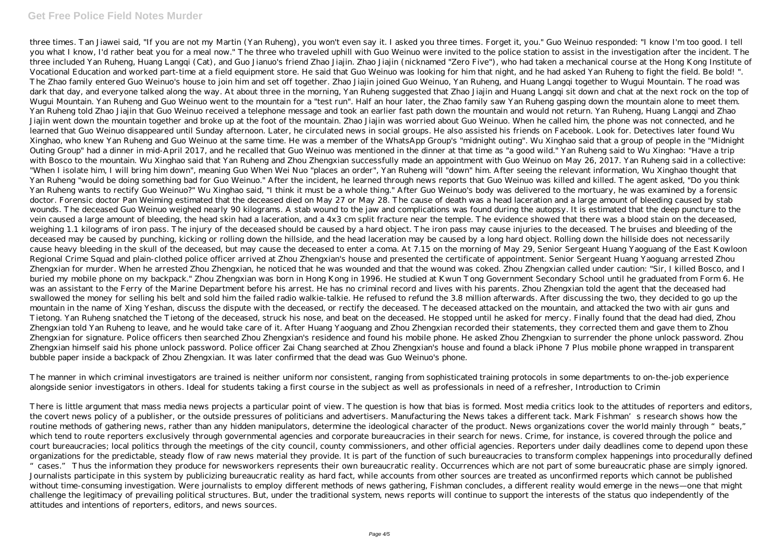## **Get Free Police Field Notes Murder**

three times. Tan Jiawei said, "If you are not my Martin (Yan Ruheng), you won't even say it. I asked you three times. Forget it, you." Guo Weinuo responded: "I know I'm too good. I tell you what I know, I'd rather beat you for a meal now." The three who traveled uphill with Guo Weinuo were invited to the police station to assist in the investigation after the incident. The three included Yan Ruheng, Huang Langqi (Cat), and Guo Jianuo's friend Zhao Jiajin. Zhao Jiajin (nicknamed "Zero Five"), who had taken a mechanical course at the Hong Kong Institute of Vocational Education and worked part-time at a field equipment store. He said that Guo Weinuo was looking for him that night, and he had asked Yan Ruheng to fight the field. Be bold! ". The Zhao family entered Guo Weinuo's house to join him and set off together. Zhao Jiajin joined Guo Weinuo, Yan Ruheng, and Huang Langqi together to Wugui Mountain. The road was dark that day, and everyone talked along the way. At about three in the morning, Yan Ruheng suggested that Zhao Jiajin and Huang Langqi sit down and chat at the next rock on the top of Wugui Mountain. Yan Ruheng and Guo Weinuo went to the mountain for a "test run". Half an hour later, the Zhao family saw Yan Ruheng gasping down the mountain alone to meet them. Yan Ruheng told Zhao Jiajin that Guo Weinuo received a telephone message and took an earlier fast path down the mountain and would not return. Yan Ruheng, Huang Langqi and Zhao Jiajin went down the mountain together and broke up at the foot of the mountain. Zhao Jiajin was worried about Guo Weinuo. When he called him, the phone was not connected, and he learned that Guo Weinuo disappeared until Sunday afternoon. Later, he circulated news in social groups. He also assisted his friends on Facebook. Look for. Detectives later found Wu Xinghao, who knew Yan Ruheng and Guo Weinuo at the same time. He was a member of the WhatsApp Group's "midnight outing". Wu Xinghao said that a group of people in the "Midnight Outing Group" had a dinner in mid-April 2017, and he recalled that Guo Weinuo was mentioned in the dinner at that time as "a good wild." Yan Ruheng said to Wu Xinghao: "Have a trip with Bosco to the mountain. Wu Xinghao said that Yan Ruheng and Zhou Zhengxian successfully made an appointment with Guo Weinuo on May 26, 2017. Yan Ruheng said in a collective: "When I isolate him, I will bring him down", meaning Guo When Wei Nuo "places an order", Yan Ruheng will "down" him. After seeing the relevant information, Wu Xinghao thought that Yan Ruheng "would be doing something bad for Guo Weinuo." After the incident, he learned through news reports that Guo Weinuo was killed and killed. The agent asked, "Do you think Yan Ruheng wants to rectify Guo Weinuo?" Wu Xinghao said, "I think it must be a whole thing." After Guo Weinuo's body was delivered to the mortuary, he was examined by a forensic doctor. Forensic doctor Pan Weiming estimated that the deceased died on May 27 or May 28. The cause of death was a head laceration and a large amount of bleeding caused by stab wounds. The deceased Guo Weinuo weighed nearly 90 kilograms. A stab wound to the jaw and complications was found during the autopsy. It is estimated that the deep puncture to the vein caused a large amount of bleeding, the head skin had a laceration, and a 4x3 cm split fracture near the temple. The evidence showed that there was a blood stain on the deceased, weighing 1.1 kilograms of iron pass. The injury of the deceased should be caused by a hard object. The iron pass may cause injuries to the deceased. The bruises and bleeding of the deceased may be caused by punching, kicking or rolling down the hillside, and the head laceration may be caused by a long hard object. Rolling down the hillside does not necessarily cause heavy bleeding in the skull of the deceased, but may cause the deceased to enter a coma. At 7.15 on the morning of May 29, Senior Sergeant Huang Yaoguang of the East Kowloon Regional Crime Squad and plain-clothed police officer arrived at Zhou Zhengxian's house and presented the certificate of appointment. Senior Sergeant Huang Yaoguang arrested Zhou Zhengxian for murder. When he arrested Zhou Zhengxian, he noticed that he was wounded and that the wound was coked. Zhou Zhengxian called under caution: "Sir, I killed Bosco, and I buried my mobile phone on my backpack." Zhou Zhengxian was born in Hong Kong in 1996. He studied at Kwun Tong Government Secondary School until he graduated from Form 6. He was an assistant to the Ferry of the Marine Department before his arrest. He has no criminal record and lives with his parents. Zhou Zhengxian told the agent that the deceased had swallowed the money for selling his belt and sold him the failed radio walkie-talkie. He refused to refund the 3.8 million afterwards. After discussing the two, they decided to go up the mountain in the name of Xing Yeshan, discuss the dispute with the deceased, or rectify the deceased. The deceased attacked on the mountain, and attacked the two with air guns and Tietong. Yan Ruheng snatched the Tietong of the deceased, struck his nose, and beat on the deceased. He stopped until he asked for mercy. Finally found that the dead had died, Zhou Zhengxian told Yan Ruheng to leave, and he would take care of it. After Huang Yaoguang and Zhou Zhengxian recorded their statements, they corrected them and gave them to Zhou Zhengxian for signature. Police officers then searched Zhou Zhengxian's residence and found his mobile phone. He asked Zhou Zhengxian to surrender the phone unlock password. Zhou Zhengxian himself said his phone unlock password. Police officer Zai Chang searched at Zhou Zhengxian's house and found a black iPhone 7 Plus mobile phone wrapped in transparent bubble paper inside a backpack of Zhou Zhengxian. It was later confirmed that the dead was Guo Weinuo's phone.

The manner in which criminal investigators are trained is neither uniform nor consistent, ranging from sophisticated training protocols in some departments to on-the-job experience alongside senior investigators in others. Ideal for students taking a first course in the subject as well as professionals in need of a refresher, Introduction to Crimin

There is little argument that mass media news projects a particular point of view. The question is how that bias is formed. Most media critics look to the attitudes of reporters and editors, the covert news policy of a publisher, or the outside pressures of politicians and advertisers. Manufacturing the News takes a different tack. Mark Fishman's research shows how the routine methods of gathering news, rather than any hidden manipulators, determine the ideological character of the product. News organizations cover the world mainly through "beats," which tend to route reporters exclusively through governmental agencies and corporate bureaucracies in their search for news. Crime, for instance, is covered through the police and court bureaucracies; local politics through the meetings of the city council, county commissioners, and other official agencies. Reporters under daily deadlines come to depend upon these organizations for the predictable, steady flow of raw news material they provide. It is part of the function of such bureaucracies to transform complex happenings into procedurally defined "cases." Thus the information they produce for newsworkers represents their own bureaucratic reality. Occurrences which are not part of some bureaucratic phase are simply ignored. Journalists participate in this system by publicizing bureaucratic reality as hard fact, while accounts from other sources are treated as unconfirmed reports which cannot be published without time-consuming investigation. Were journalists to employ different methods of news gathering, Fishman concludes, a different reality would emerge in the news—one that might challenge the legitimacy of prevailing political structures. But, under the traditional system, news reports will continue to support the interests of the status quo independently of the attitudes and intentions of reporters, editors, and news sources.